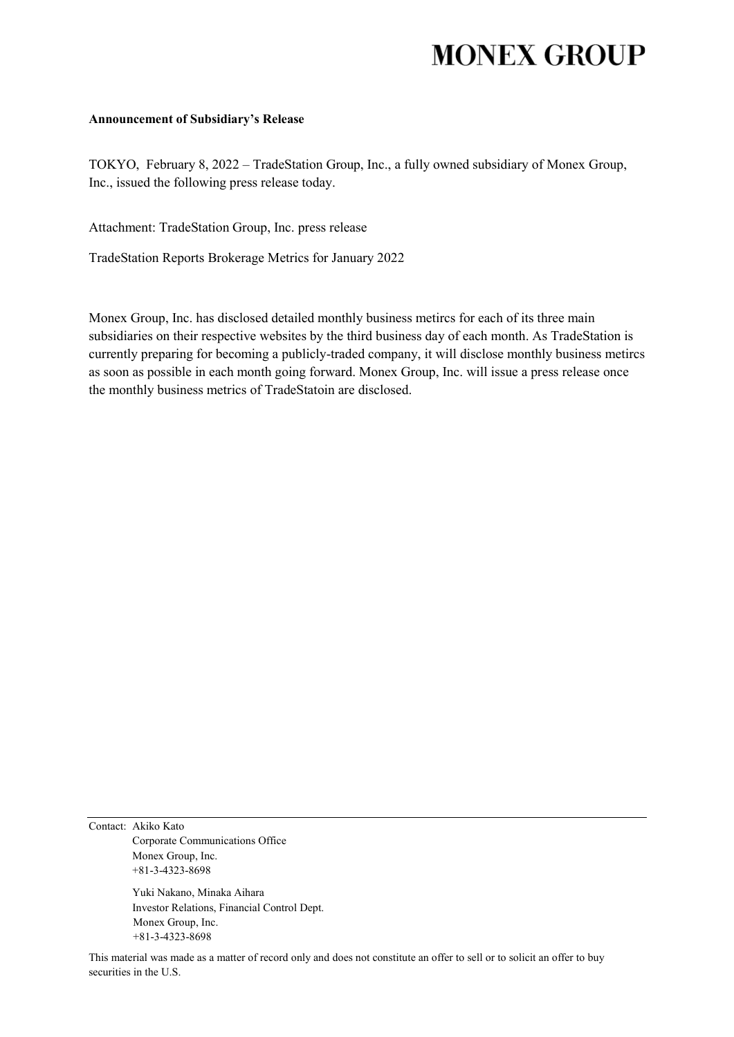# **MONEX GROUP**

#### **Announcement of Subsidiary's Release**

TOKYO, February 8, 2022 – TradeStation Group, Inc., a fully owned subsidiary of Monex Group, Inc., issued the following press release today.

Attachment: TradeStation Group, Inc. press release

TradeStation Reports Brokerage Metrics for January 2022

Monex Group, Inc. has disclosed detailed monthly business metircs for each of its three main subsidiaries on their respective websites by the third business day of each month. As TradeStation is currently preparing for becoming a publicly-traded company, it will disclose monthly business metircs as soon as possible in each month going forward. Monex Group, Inc. will issue a press release once the monthly business metrics of TradeStatoin are disclosed.

Contact: Akiko Kato Corporate Communications Office Monex Group, Inc. +81-3-4323-8698

> Yuki Nakano, Minaka Aihara Investor Relations, Financial Control Dept. Monex Group, Inc. +81-3-4323-8698

This material was made as a matter of record only and does not constitute an offer to sell or to solicit an offer to buy securities in the U.S.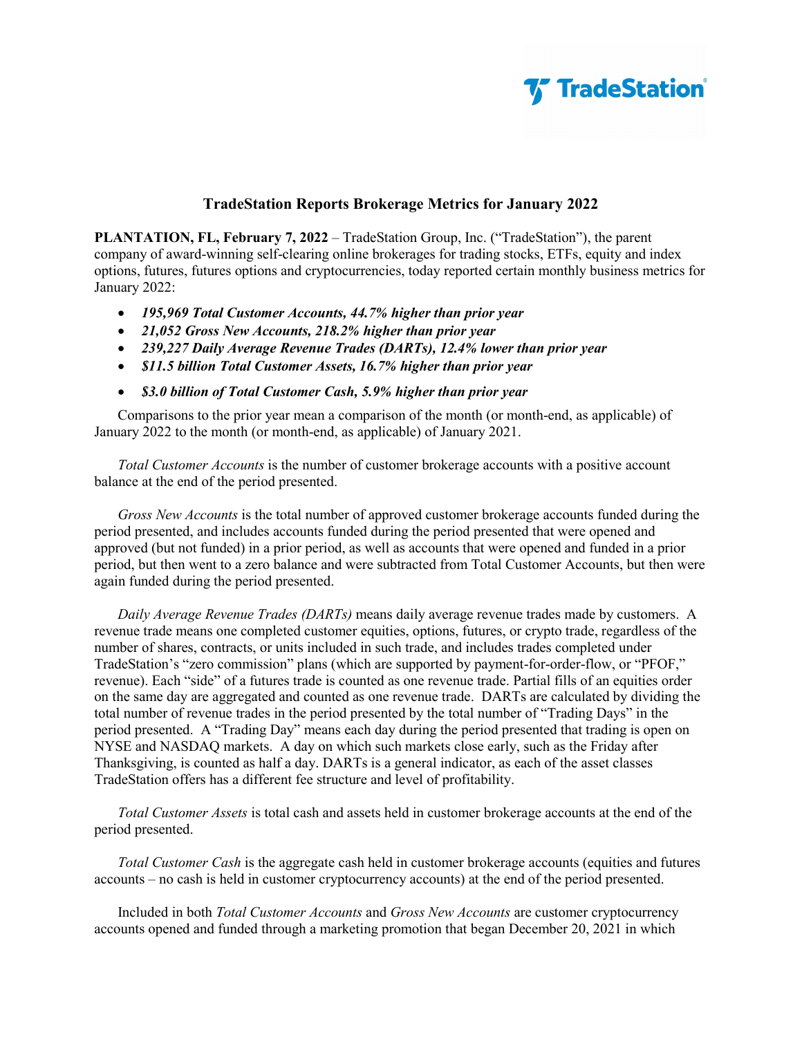

### **TradeStation Reports Brokerage Metrics for January 2022**

**PLANTATION, FL, February 7, 2022** – TradeStation Group, Inc. ("TradeStation"), the parent company of award-winning self-clearing online brokerages for trading stocks, ETFs, equity and index options, futures, futures options and cryptocurrencies, today reported certain monthly business metrics for January 2022:

- *195,969 Total Customer Accounts, 44.7% higher than prior year*
- *21,052 Gross New Accounts, 218.2% higher than prior year*
- *239,227 Daily Average Revenue Trades (DARTs), 12.4% lower than prior year*
- *\$11.5 billion Total Customer Assets, 16.7% higher than prior year*
- *\$3.0 billion of Total Customer Cash, 5.9% higher than prior year*

Comparisons to the prior year mean a comparison of the month (or month-end, as applicable) of January 2022 to the month (or month-end, as applicable) of January 2021.

*Total Customer Accounts* is the number of customer brokerage accounts with a positive account balance at the end of the period presented.

*Gross New Accounts* is the total number of approved customer brokerage accounts funded during the period presented, and includes accounts funded during the period presented that were opened and approved (but not funded) in a prior period, as well as accounts that were opened and funded in a prior period, but then went to a zero balance and were subtracted from Total Customer Accounts, but then were again funded during the period presented.

*Daily Average Revenue Trades (DARTs)* means daily average revenue trades made by customers. A revenue trade means one completed customer equities, options, futures, or crypto trade, regardless of the number of shares, contracts, or units included in such trade, and includes trades completed under TradeStation's "zero commission" plans (which are supported by payment-for-order-flow, or "PFOF," revenue). Each "side" of a futures trade is counted as one revenue trade. Partial fills of an equities order on the same day are aggregated and counted as one revenue trade. DARTs are calculated by dividing the total number of revenue trades in the period presented by the total number of "Trading Days" in the period presented. A "Trading Day" means each day during the period presented that trading is open on NYSE and NASDAQ markets. A day on which such markets close early, such as the Friday after Thanksgiving, is counted as half a day. DARTs is a general indicator, as each of the asset classes TradeStation offers has a different fee structure and level of profitability.

*Total Customer Assets* is total cash and assets held in customer brokerage accounts at the end of the period presented.

*Total Customer Cash* is the aggregate cash held in customer brokerage accounts (equities and futures accounts – no cash is held in customer cryptocurrency accounts) at the end of the period presented.

Included in both *Total Customer Accounts* and *Gross New Accounts* are customer cryptocurrency accounts opened and funded through a marketing promotion that began December 20, 2021 in which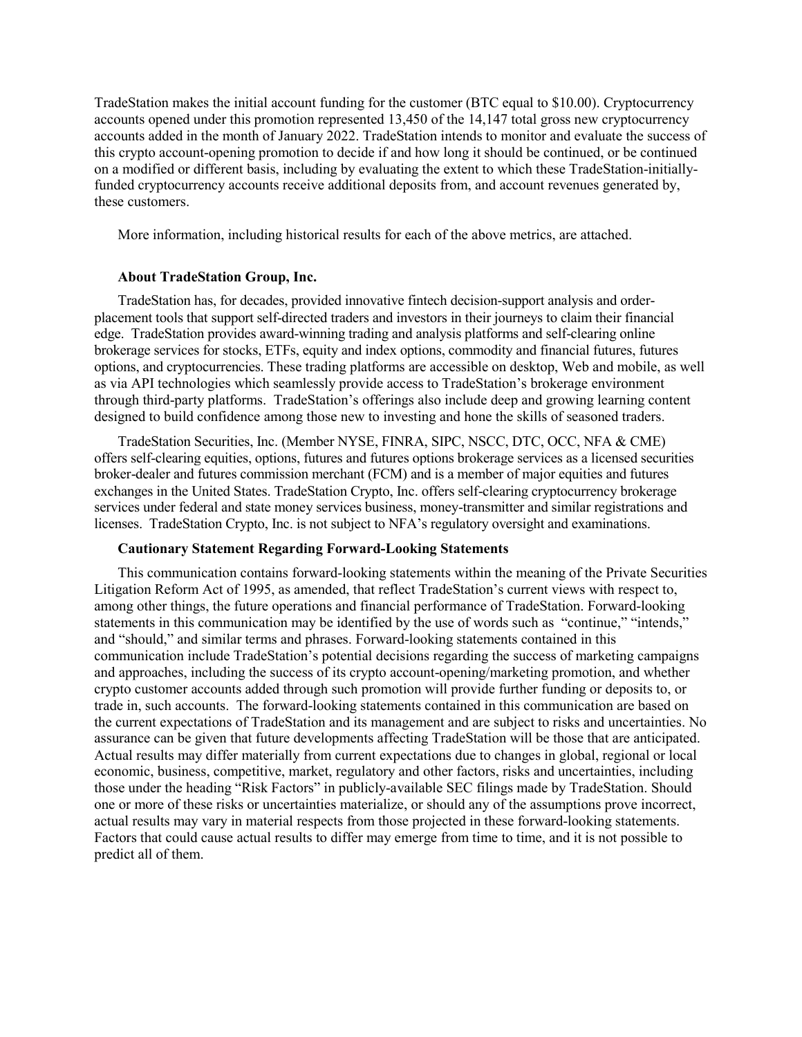TradeStation makes the initial account funding for the customer (BTC equal to \$10.00). Cryptocurrency accounts opened under this promotion represented 13,450 of the 14,147 total gross new cryptocurrency accounts added in the month of January 2022. TradeStation intends to monitor and evaluate the success of this crypto account-opening promotion to decide if and how long it should be continued, or be continued on a modified or different basis, including by evaluating the extent to which these TradeStation-initiallyfunded cryptocurrency accounts receive additional deposits from, and account revenues generated by, these customers.

More information, including historical results for each of the above metrics, are attached.

#### **About TradeStation Group, Inc.**

TradeStation has, for decades, provided innovative fintech decision-support analysis and orderplacement tools that support self-directed traders and investors in their journeys to claim their financial edge. TradeStation provides award-winning trading and analysis platforms and self-clearing online brokerage services for stocks, ETFs, equity and index options, commodity and financial futures, futures options, and cryptocurrencies. These trading platforms are accessible on desktop, Web and mobile, as well as via API technologies which seamlessly provide access to TradeStation's brokerage environment through third-party platforms. TradeStation's offerings also include deep and growing learning content designed to build confidence among those new to investing and hone the skills of seasoned traders.

TradeStation Securities, Inc. (Member NYSE, FINRA, SIPC, NSCC, DTC, OCC, NFA & CME) offers self-clearing equities, options, futures and futures options brokerage services as a licensed securities broker-dealer and futures commission merchant (FCM) and is a member of major equities and futures exchanges in the United States. TradeStation Crypto, Inc. offers self-clearing cryptocurrency brokerage services under federal and state money services business, money-transmitter and similar registrations and licenses. TradeStation Crypto, Inc. is not subject to NFA's regulatory oversight and examinations.

#### **Cautionary Statement Regarding Forward-Looking Statements**

This communication contains forward-looking statements within the meaning of the Private Securities Litigation Reform Act of 1995, as amended, that reflect TradeStation's current views with respect to, among other things, the future operations and financial performance of TradeStation. Forward-looking statements in this communication may be identified by the use of words such as "continue," "intends," and "should," and similar terms and phrases. Forward-looking statements contained in this communication include TradeStation's potential decisions regarding the success of marketing campaigns and approaches, including the success of its crypto account-opening/marketing promotion, and whether crypto customer accounts added through such promotion will provide further funding or deposits to, or trade in, such accounts. The forward-looking statements contained in this communication are based on the current expectations of TradeStation and its management and are subject to risks and uncertainties. No assurance can be given that future developments affecting TradeStation will be those that are anticipated. Actual results may differ materially from current expectations due to changes in global, regional or local economic, business, competitive, market, regulatory and other factors, risks and uncertainties, including those under the heading "Risk Factors" in publicly-available SEC filings made by TradeStation. Should one or more of these risks or uncertainties materialize, or should any of the assumptions prove incorrect, actual results may vary in material respects from those projected in these forward-looking statements. Factors that could cause actual results to differ may emerge from time to time, and it is not possible to predict all of them.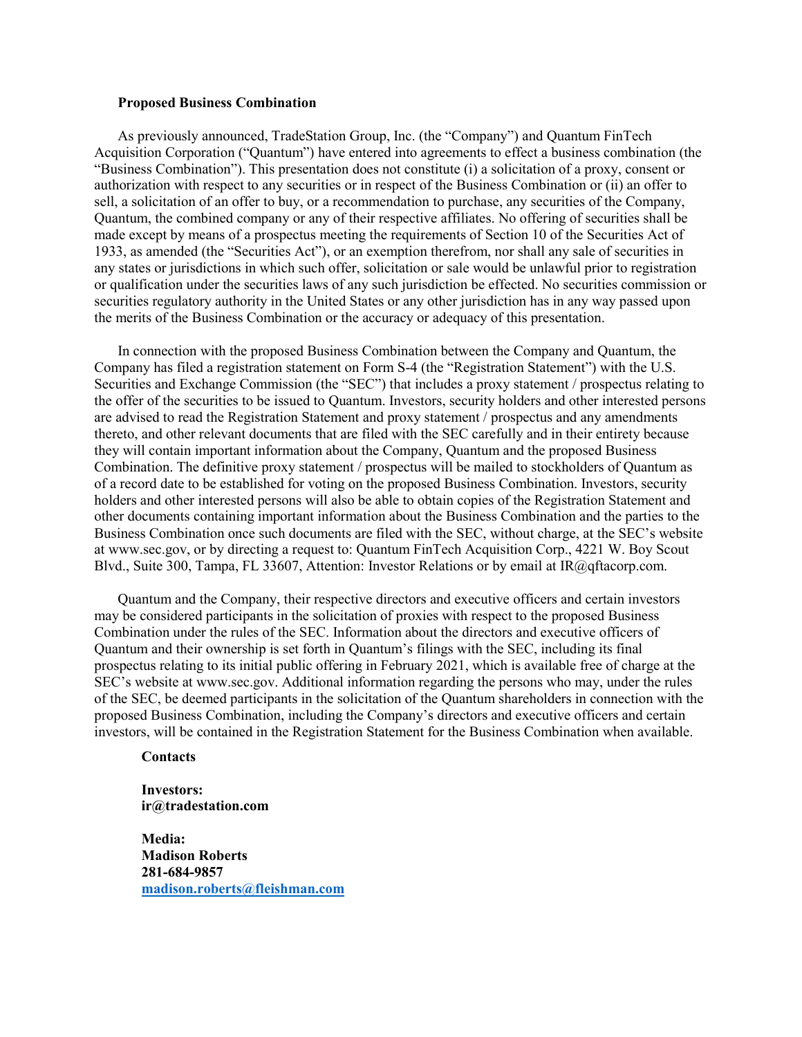#### **Proposed Business Combination**

As previously announced, TradeStation Group, Inc. (the "Company") and Quantum FinTech Acquisition Corporation ("Quantum") have entered into agreements to effect a business combination (the "Business Combination"). This presentation does not constitute (i) a solicitation of a proxy, consent or authorization with respect to any securities or in respect of the Business Combination or (ii) an offer to sell, a solicitation of an offer to buy, or a recommendation to purchase, any securities of the Company, Quantum, the combined company or any of their respective affiliates. No offering of securities shall be made except by means of a prospectus meeting the requirements of Section 10 of the Securities Act of 1933, as amended (the "Securities Act"), or an exemption therefrom, nor shall any sale of securities in any states or jurisdictions in which such offer, solicitation or sale would be unlawful prior to registration or qualification under the securities laws of any such jurisdiction be effected. No securities commission or securities regulatory authority in the United States or any other jurisdiction has in any way passed upon the merits of the Business Combination or the accuracy or adequacy of this presentation.

In connection with the proposed Business Combination between the Company and Quantum, the Company has filed a registration statement on Form S-4 (the "Registration Statement") with the U.S. Securities and Exchange Commission (the "SEC") that includes a proxy statement / prospectus relating to the offer of the securities to be issued to Quantum. Investors, security holders and other interested persons are advised to read the Registration Statement and proxy statement / prospectus and any amendments thereto, and other relevant documents that are filed with the SEC carefully and in their entirety because they will contain important information about the Company, Quantum and the proposed Business Combination. The definitive proxy statement / prospectus will be mailed to stockholders of Quantum as of a record date to be established for voting on the proposed Business Combination. Investors, security holders and other interested persons will also be able to obtain copies of the Registration Statement and other documents containing important information about the Business Combination and the parties to the Business Combination once such documents are filed with the SEC, without charge, at the SEC's website at www.sec.gov, or by directing a request to: Quantum FinTech Acquisition Corp., 4221 W. Boy Scout Blvd., Suite 300, Tampa, FL 33607, Attention: Investor Relations or by email at IR@qftacorp.com.

Quantum and the Company, their respective directors and executive officers and certain investors may be considered participants in the solicitation of proxies with respect to the proposed Business Combination under the rules of the SEC. Information about the directors and executive officers of Quantum and their ownership is set forth in Quantum's filings with the SEC, including its final prospectus relating to its initial public offering in February 2021, which is available free of charge at the SEC's website at www.sec.gov. Additional information regarding the persons who may, under the rules of the SEC, be deemed participants in the solicitation of the Quantum shareholders in connection with the proposed Business Combination, including the Company's directors and executive officers and certain investors, will be contained in the Registration Statement for the Business Combination when available.

**Contacts**

**Investors: ir@tradestation.com**

**Media: Madison Roberts 281-684-9857 [madison.roberts@fleishman.com](mailto:madison.roberts@fleishman.com)**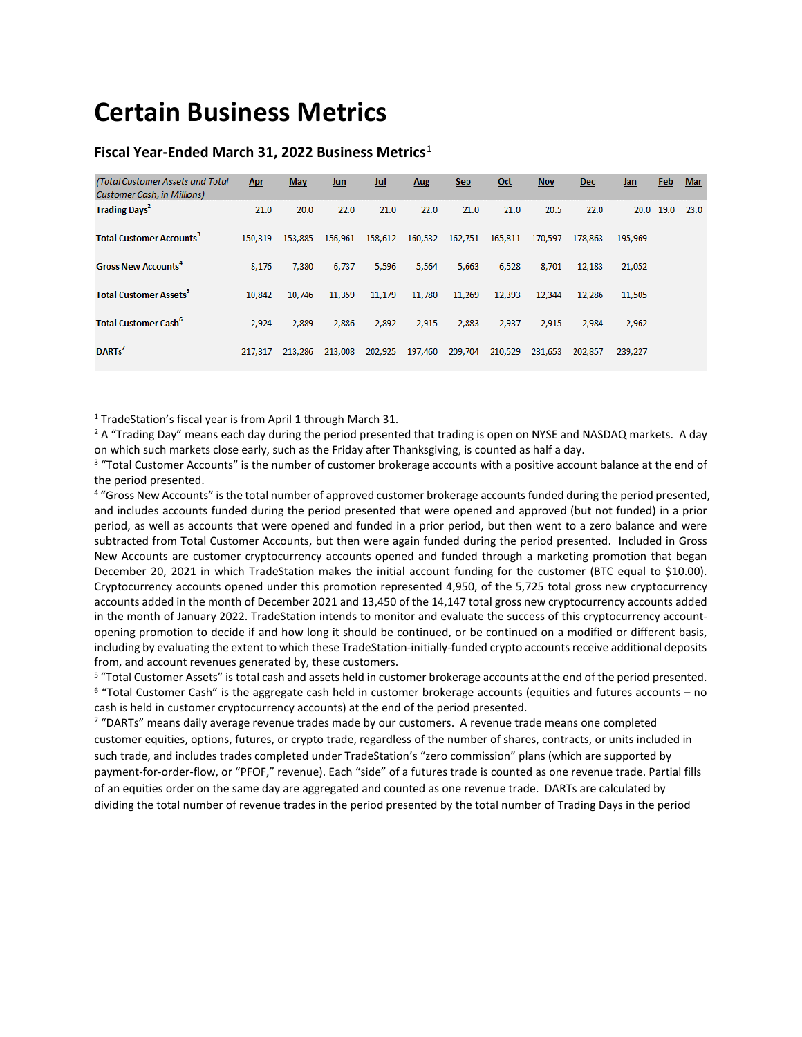# **Certain Business Metrics**

#### **Fiscal Year-Ended March 31, 2022 Business Metrics**[1](#page-4-0)

| (Total Customer Assets and Total<br><b>Customer Cash, in Millions)</b> | Apr     | <b>May</b> | Jun     | Jul     | Aug     | <b>Sep</b> | $Oct$   | <b>Nov</b> | <b>Dec</b> | Jan     | Feb  | <b>Mar</b> |
|------------------------------------------------------------------------|---------|------------|---------|---------|---------|------------|---------|------------|------------|---------|------|------------|
| <b>Trading Days<sup>2</sup></b>                                        | 21.0    | 20.0       | 22.0    | 21.0    | 22.0    | 21.0       | 21.0    | 20.5       | 22.0       | 20.0    | 19.0 | 23.0       |
| <b>Total Customer Accounts<sup>3</sup></b>                             | 150,319 | 153,885    | 156,961 | 158,612 | 160,532 | 162,751    | 165,811 | 170,597    | 178,863    | 195,969 |      |            |
| <b>Gross New Accounts<sup>4</sup></b>                                  | 8,176   | 7,380      | 6,737   | 5,596   | 5,564   | 5,663      | 6,528   | 8,701      | 12,183     | 21,052  |      |            |
| <b>Total Customer Assets<sup>5</sup></b>                               | 10,842  | 10,746     | 11,359  | 11,179  | 11,780  | 11,269     | 12,393  | 12,344     | 12,286     | 11,505  |      |            |
| <b>Total Customer Cash<sup>6</sup></b>                                 | 2,924   | 2,889      | 2,886   | 2,892   | 2,915   | 2,883      | 2,937   | 2,915      | 2,984      | 2,962   |      |            |
| DARTs <sup>7</sup>                                                     | 217,317 | 213,286    | 213,008 | 202,925 | 197,460 | 209,704    | 210,529 | 231,653    | 202,857    | 239,227 |      |            |

<sup>1</sup> TradeStation's fiscal year is from April 1 through March 31.

<span id="page-4-0"></span> $\overline{a}$ 

<sup>2</sup> A "Trading Day" means each day during the period presented that trading is open on NYSE and NASDAQ markets. A day on which such markets close early, such as the Friday after Thanksgiving, is counted as half a day.

<sup>3</sup> "Total Customer Accounts" is the number of customer brokerage accounts with a positive account balance at the end of the period presented.

<sup>4</sup> "Gross New Accounts" is the total number of approved customer brokerage accounts funded during the period presented, and includes accounts funded during the period presented that were opened and approved (but not funded) in a prior period, as well as accounts that were opened and funded in a prior period, but then went to a zero balance and were subtracted from Total Customer Accounts, but then were again funded during the period presented. Included in Gross New Accounts are customer cryptocurrency accounts opened and funded through a marketing promotion that began December 20, 2021 in which TradeStation makes the initial account funding for the customer (BTC equal to \$10.00). Cryptocurrency accounts opened under this promotion represented 4,950, of the 5,725 total gross new cryptocurrency accounts added in the month of December 2021 and 13,450 of the 14,147 total gross new cryptocurrency accounts added in the month of January 2022. TradeStation intends to monitor and evaluate the success of this cryptocurrency accountopening promotion to decide if and how long it should be continued, or be continued on a modified or different basis, including by evaluating the extent to which these TradeStation-initially-funded crypto accounts receive additional deposits from, and account revenues generated by, these customers.

<sup>5</sup> "Total Customer Assets" is total cash and assets held in customer brokerage accounts at the end of the period presented.  $6$  "Total Customer Cash" is the aggregate cash held in customer brokerage accounts (equities and futures accounts – no cash is held in customer cryptocurrency accounts) at the end of the period presented.

<sup>7</sup> "DARTs" means daily average revenue trades made by our customers. A revenue trade means one completed customer equities, options, futures, or crypto trade, regardless of the number of shares, contracts, or units included in such trade, and includes trades completed under TradeStation's "zero commission" plans (which are supported by payment-for-order-flow, or "PFOF," revenue). Each "side" of a futures trade is counted as one revenue trade. Partial fills of an equities order on the same day are aggregated and counted as one revenue trade. DARTs are calculated by dividing the total number of revenue trades in the period presented by the total number of Trading Days in the period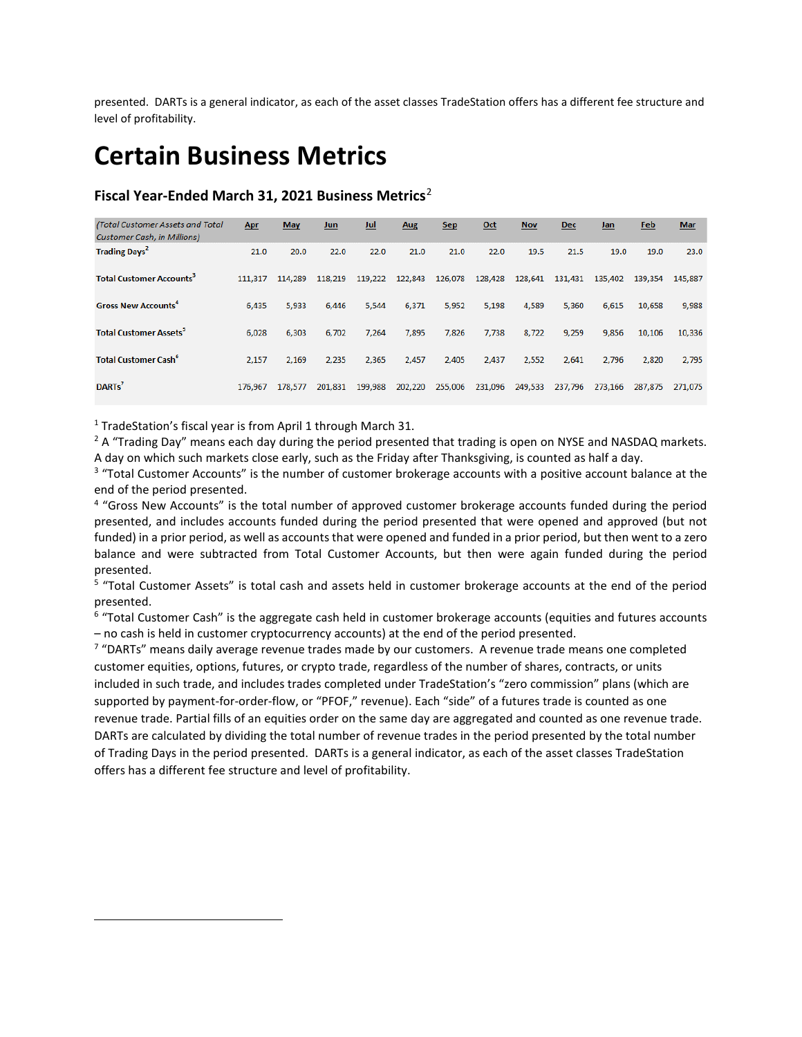presented. DARTs is a general indicator, as each of the asset classes TradeStation offers has a different fee structure and level of profitability.

# **Certain Business Metrics**

### **Fiscal Year-Ended March 31, 2021 Business Metrics**[2](#page-5-0)

| (Total Customer Assets and Total<br><b>Customer Cash, in Millions)</b> | <b>Apr</b> | <b>May</b> | <b>Jun</b> | Jul     | <b>Aug</b> | <b>Sep</b> | $Oct$   | <b>Nov</b> | <b>Dec</b> | Jan     | Feb     | <b>Mar</b> |
|------------------------------------------------------------------------|------------|------------|------------|---------|------------|------------|---------|------------|------------|---------|---------|------------|
| <b>Trading Days<sup>2</sup></b>                                        | 21.0       | 20.0       | 22.0       | 22.0    | 21.0       | 21.0       | 22.0    | 19.5       | 21.5       | 19.0    | 19.0    | 23.0       |
| <b>Total Customer Accounts<sup>3</sup></b>                             | 111,317    | 114,289    | 118,219    | 119,222 | 122,843    | 126,078    | 128,428 | 128,641    | 131,431    | 135,402 | 139,354 | 145,887    |
| <b>Gross New Accounts<sup>4</sup></b>                                  | 6,435      | 5,933      | 6,446      | 5,544   | 6,371      | 5,952      | 5,198   | 4,589      | 5,360      | 6,615   | 10,658  | 9,988      |
| <b>Total Customer Assets<sup>5</sup></b>                               | 6.028      | 6,303      | 6.702      | 7.264   | 7.895      | 7.826      | 7.738   | 8,722      | 9,259      | 9,856   | 10.106  | 10,336     |
| <b>Total Customer Cash<sup>6</sup></b>                                 | 2,157      | 2,169      | 2,235      | 2,365   | 2,457      | 2,405      | 2,437   | 2,552      | 2,641      | 2,796   | 2.820   | 2,795      |
| DARTs <sup>7</sup>                                                     | 176.967    | 178.577    | 201.831    | 199,988 | 202,220    | 255,006    | 231,096 | 249,533    | 237,796    | 273,166 | 287.875 | 271.075    |

<sup>1</sup> TradeStation's fiscal year is from April 1 through March 31.

<span id="page-5-0"></span>l

 $2A$  "Trading Day" means each day during the period presented that trading is open on NYSE and NASDAQ markets. A day on which such markets close early, such as the Friday after Thanksgiving, is counted as half a day.

<sup>3</sup> "Total Customer Accounts" is the number of customer brokerage accounts with a positive account balance at the end of the period presented.

<sup>4</sup> "Gross New Accounts" is the total number of approved customer brokerage accounts funded during the period presented, and includes accounts funded during the period presented that were opened and approved (but not funded) in a prior period, as well as accounts that were opened and funded in a prior period, but then went to a zero balance and were subtracted from Total Customer Accounts, but then were again funded during the period presented.

<sup>5</sup> "Total Customer Assets" is total cash and assets held in customer brokerage accounts at the end of the period presented.

 $6$  "Total Customer Cash" is the aggregate cash held in customer brokerage accounts (equities and futures accounts – no cash is held in customer cryptocurrency accounts) at the end of the period presented.

<sup>7</sup> "DARTs" means daily average revenue trades made by our customers. A revenue trade means one completed customer equities, options, futures, or crypto trade, regardless of the number of shares, contracts, or units included in such trade, and includes trades completed under TradeStation's "zero commission" plans (which are supported by payment-for-order-flow, or "PFOF," revenue). Each "side" of a futures trade is counted as one revenue trade. Partial fills of an equities order on the same day are aggregated and counted as one revenue trade. DARTs are calculated by dividing the total number of revenue trades in the period presented by the total number of Trading Days in the period presented. DARTs is a general indicator, as each of the asset classes TradeStation offers has a different fee structure and level of profitability.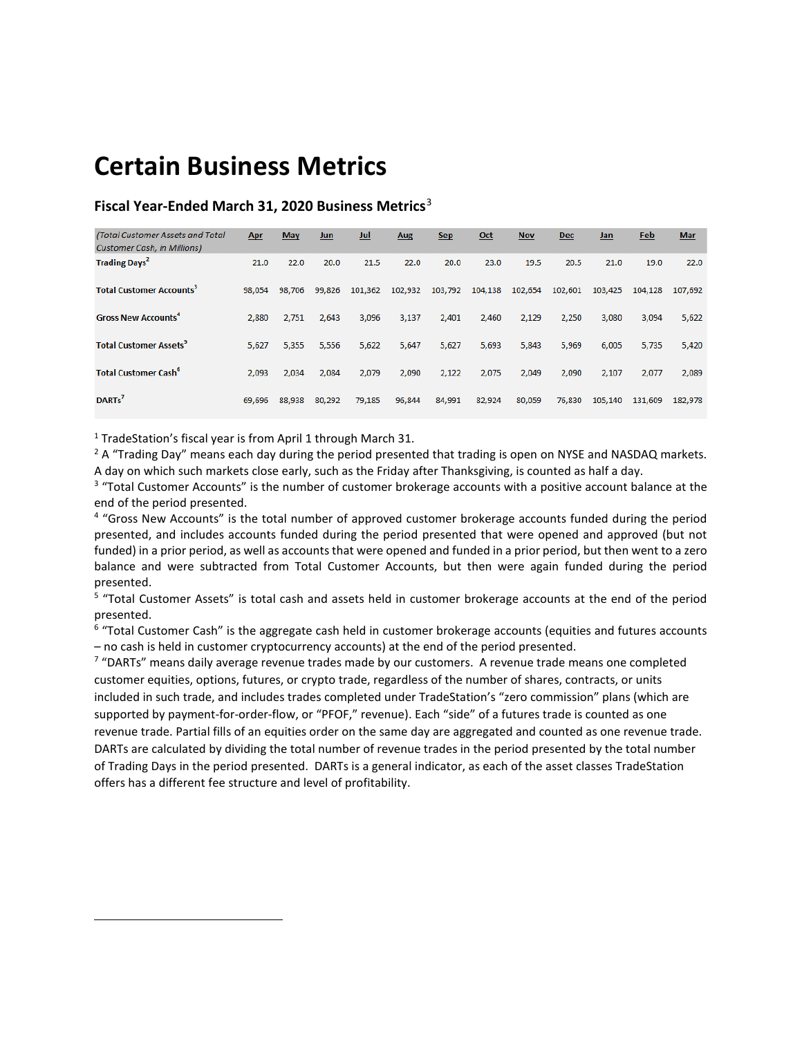## **Certain Business Metrics**

### **Fiscal Year-Ended March 31, 2020 Business Metrics**[3](#page-6-0)

| (Total Customer Assets and Total<br><b>Customer Cash, in Millions)</b> | <b>Apr</b> | <b>May</b> | <b>Jun</b> | Jul     | <b>Aug</b> | <b>Sep</b> | Oct     | <b>Nov</b> | <b>Dec</b> | Jan     | Feb     | <b>Mar</b> |
|------------------------------------------------------------------------|------------|------------|------------|---------|------------|------------|---------|------------|------------|---------|---------|------------|
| <b>Trading Days<sup>2</sup></b>                                        | 21.0       | 22.0       | 20.0       | 21.5    | 22.0       | 20.0       | 23.0    | 19.5       | 20.5       | 21.0    | 19.0    | 22.0       |
| <b>Total Customer Accounts<sup>3</sup></b>                             | 98.054     | 98.706     | 99.826     | 101,362 | 102.932    | 103,792    | 104,138 | 102,654    | 102.601    | 103.425 | 104.128 | 107.692    |
| <b>Gross New Accounts<sup>4</sup></b>                                  | 2,880      | 2,751      | 2,643      | 3,096   | 3,137      | 2,401      | 2,460   | 2,129      | 2,250      | 3,080   | 3,094   | 5,622      |
| <b>Total Customer Assets<sup>5</sup></b>                               | 5,627      | 5,355      | 5,556      | 5,622   | 5,647      | 5,627      | 5,693   | 5,843      | 5,969      | 6,005   | 5,735   | 5,420      |
| <b>Total Customer Cash<sup>6</sup></b>                                 | 2,093      | 2,034      | 2,084      | 2,079   | 2,090      | 2,122      | 2,075   | 2,049      | 2,090      | 2,107   | 2,077   | 2,089      |
| DARTs'                                                                 | 69,696     | 88,938     | 80,292     | 79,185  | 96,844     | 84,991     | 82,924  | 80,059     | 76,830     | 105,140 | 131,609 | 182,978    |

 $1$  TradeStation's fiscal year is from April 1 through March 31.

<span id="page-6-0"></span>l

 $2A$  "Trading Day" means each day during the period presented that trading is open on NYSE and NASDAQ markets. A day on which such markets close early, such as the Friday after Thanksgiving, is counted as half a day.

<sup>3</sup> "Total Customer Accounts" is the number of customer brokerage accounts with a positive account balance at the end of the period presented.

<sup>4</sup> "Gross New Accounts" is the total number of approved customer brokerage accounts funded during the period presented, and includes accounts funded during the period presented that were opened and approved (but not funded) in a prior period, as well as accounts that were opened and funded in a prior period, but then went to a zero balance and were subtracted from Total Customer Accounts, but then were again funded during the period presented.

<sup>5</sup> "Total Customer Assets" is total cash and assets held in customer brokerage accounts at the end of the period presented.

<sup>6</sup> "Total Customer Cash" is the aggregate cash held in customer brokerage accounts (equities and futures accounts – no cash is held in customer cryptocurrency accounts) at the end of the period presented.

<sup>7</sup> "DARTs" means daily average revenue trades made by our customers. A revenue trade means one completed customer equities, options, futures, or crypto trade, regardless of the number of shares, contracts, or units included in such trade, and includes trades completed under TradeStation's "zero commission" plans (which are supported by payment-for-order-flow, or "PFOF," revenue). Each "side" of a futures trade is counted as one revenue trade. Partial fills of an equities order on the same day are aggregated and counted as one revenue trade. DARTs are calculated by dividing the total number of revenue trades in the period presented by the total number of Trading Days in the period presented. DARTs is a general indicator, as each of the asset classes TradeStation offers has a different fee structure and level of profitability.